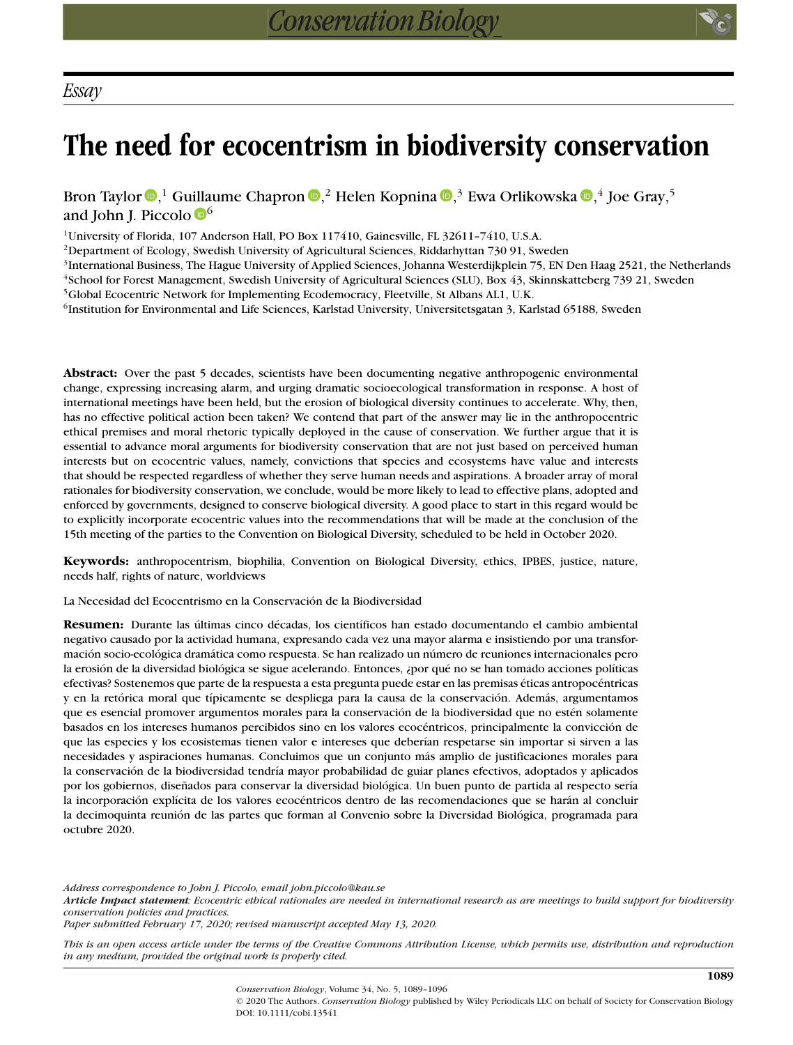# **The need for ecocentrism in biodiversity conservation**

Bron Taylor  $\mathbf{D},^1$  $\mathbf{D},^1$  $\mathbf{D},^1$  Guillaume Chapron  $\mathbf{D},^2$  Helen Kopnina  $\mathbf{D},^3$  Ewa Orlikowska  $\mathbf{D},^4$  Joe Gray, $^5$ and John J. Piccolo  $\mathbb{D}^6$  $\mathbb{D}^6$ 

<sup>1</sup>University of Florida, 107 Anderson Hall, PO Box 117410, Gainesville, FL 32611-7410, U.S.A.

<sup>2</sup>Department of Ecology, Swedish University of Agricultural Sciences, Riddarhyttan 730 91, Sweden

<sup>3</sup>International Business, The Hague University of Applied Sciences, Johanna Westerdijkplein 75, EN Den Haag 2521, the Netherlands

<sup>4</sup>School for Forest Management, Swedish University of Agricultural Sciences (SLU), Box 43, Skinnskatteberg 739 21, Sweden 5Global Ecocentric Network for Implementing Ecodemocracy, Fleetville, St Albans AL1, U.K.

<sup>6</sup>Institution for Environmental and Life Sciences, Karlstad University, Universitetsgatan 3, Karlstad 65188, Sweden

**Abstract:** Over the past 5 decades, scientists have been documenting negative anthropogenic environmental change, expressing increasing alarm, and urging dramatic socioecological transformation in response. A host of international meetings have been held, but the erosion of biological diversity continues to accelerate. Why, then,

has no effective political action been taken? We contend that part of the answer may lie in the anthropocentric ethical premises and moral rhetoric typically deployed in the cause of conservation. We further argue that it is essential to advance moral arguments for biodiversity conservation that are not just based on perceived human interests but on ecocentric values, namely, convictions that species and ecosystems have value and interests that should be respected regardless of whether they serve human needs and aspirations. A broader array of moral rationales for biodiversity conservation, we conclude, would be more likely to lead to effective plans, adopted and enforced by governments, designed to conserve biological diversity. A good place to start in this regard would be to explicitly incorporate ecocentric values into the recommendations that will be made at the conclusion of the 15th meeting of the parties to the Convention on Biological Diversity, scheduled to be held in October 2020.

**Keywords:** anthropocentrism, biophilia, Convention on Biological Diversity, ethics, IPBES, justice, nature, needs half, rights of nature, worldviews

La Necesidad del Ecocentrismo en la Conservación de la Biodiversidad

**Resumen:** Durante las últimas cinco décadas, los científicos han estado documentando el cambio ambiental negativo causado por la actividad humana, expresando cada vez una mayor alarma e insistiendo por una transformación socio-ecológica dramática como respuesta. Se han realizado un número de reuniones internacionales pero la erosión de la diversidad biológica se sigue acelerando. Entonces, ¿por qué no se han tomado acciones políticas efectivas? Sostenemos que parte de la respuesta a esta pregunta puede estar en las premisas éticas antropocéntricas y en la retórica moral que típicamente se despliega para la causa de la conservación. Además, argumentamos que es esencial promover argumentos morales para la conservación de la biodiversidad que no estén solamente basados en los intereses humanos percibidos sino en los valores ecocéntricos, principalmente la convicción de que las especies y los ecosistemas tienen valor e intereses que deberían respetarse sin importar si sirven a las necesidades y aspiraciones humanas. Concluimos que un conjunto más amplio de justificaciones morales para la conservación de la biodiversidad tendría mayor probabilidad de guiar planes efectivos, adoptados y aplicados por los gobiernos, diseñados para conservar la diversidad biológica. Un buen punto de partida al respecto sería la incorporación explícita de los valores ecocéntricos dentro de las recomendaciones que se harán al concluir la decimoquinta reunión de las partes que forman al Convenio sobre la Diversidad Biológica, programada para octubre 2020.

*Address correspondence to John J. Piccolo, email john.piccolo@kau.se*

*Article Impact statement: Ecocentric ethical rationales are needed in international research as are meetings to build support for biodiversity conservation policies and practices.*

*Paper submitted February 17, 2020; revised manuscript accepted May 13, 2020.*

*This is an open access article under the terms of the [Creative Commons Attribution](http://creativecommons.org/licenses/by/4.0/) License, which permits use, distribution and reproduction in any medium, provided the original work is properly cited.*

> © 2020 The Authors. *Conservation Biology* published by Wiley Periodicals LLC on behalf of Society for Conservation Biology DOI: 10.1111/cobi.13541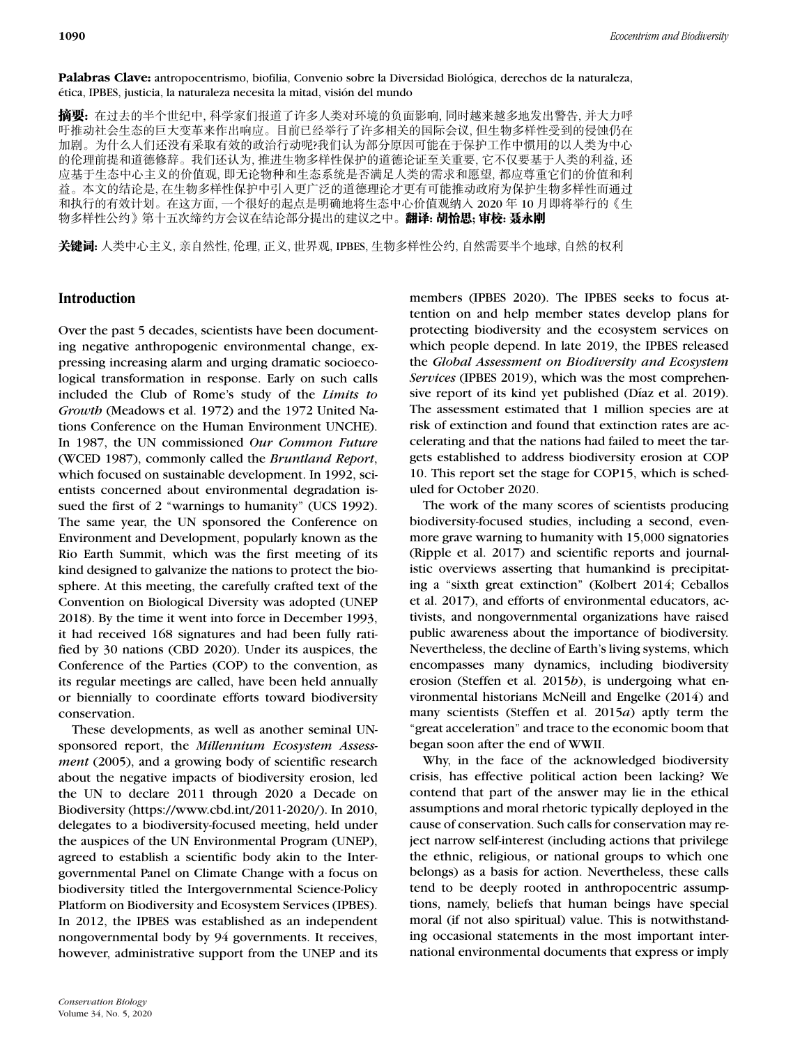**Palabras Clave:** antropocentrismo, biofilia, Convenio sobre la Diversidad Biológica, derechos de la naturaleza, ética, IPBES, justicia, la naturaleza necesita la mitad, visión del mundo

**摘要:** 在过去的半个世纪中, 科学家们报道了许多人类对环境的负面影响, 同时越来越多地发出警告, 并大力呼 吁推动社会生态的巨大变革来作出响应。目前已经举行了许多相关的国际会议, 但生物多样性受到的侵蚀仍在 加剧。为什么人们还没有采取有效的政治行动呢?我们认为部分原因可能在于保护工作中惯用的以人类为中心 的伦理前提和道德修辞。我们还认为, 推进生物多样性保护的道德论证至关重要, 它不仅要基于人类的利益, 还 应基于生态中心主义的价值观, 即无论物种和生态系统是否满足人类的需求和愿望, 都应尊重它们的价值和利 益。本文的结论是, 在生物多样性保护中引入更广泛的道德理论才更有可能推动政府为保护生物多样性而通过 和执行的有效计划。在这方面, 一个很好的起点是明确地将生态中心价值观纳入 2020 年 10 月即将举行的《生 物多样性公约》第十五次缔约方会议在结论部分提出的建议之中。**翻译: 胡怡思; 审校: 聂永刚** 

关键词: 人类中心主义, 亲自然性, 伦理, 正义, 世界观, IPBES, 生物多样性公约, 自然需要半个地球, 自然的权利

## **Introduction**

Over the past 5 decades, scientists have been documenting negative anthropogenic environmental change, expressing increasing alarm and urging dramatic socioecological transformation in response. Early on such calls included the Club of Rome's study of the *Limits to Growth* (Meadows et al. 1972) and the 1972 United Nations Conference on the Human Environment UNCHE). In 1987, the UN commissioned *Our Common Future* (WCED 1987), commonly called the *Bruntland Report*, which focused on sustainable development. In 1992, scientists concerned about environmental degradation issued the first of 2 "warnings to humanity" (UCS 1992). The same year, the UN sponsored the Conference on Environment and Development, popularly known as the Rio Earth Summit, which was the first meeting of its kind designed to galvanize the nations to protect the biosphere. At this meeting, the carefully crafted text of the Convention on Biological Diversity was adopted (UNEP 2018). By the time it went into force in December 1993, it had received 168 signatures and had been fully ratified by 30 nations (CBD 2020). Under its auspices, the Conference of the Parties (COP) to the convention, as its regular meetings are called, have been held annually or biennially to coordinate efforts toward biodiversity conservation.

These developments, as well as another seminal UNsponsored report, the *Millennium Ecosystem Assessment* (2005), and a growing body of scientific research about the negative impacts of biodiversity erosion, led the UN to declare 2011 through 2020 a Decade on Biodiversity [\(https://www.cbd.int/2011-2020/\)](https://www.cbd.int/2011-2020/). In 2010, delegates to a biodiversity-focused meeting, held under the auspices of the UN Environmental Program (UNEP), agreed to establish a scientific body akin to the Intergovernmental Panel on Climate Change with a focus on biodiversity titled the Intergovernmental Science-Policy Platform on Biodiversity and Ecosystem Services (IPBES). In 2012, the IPBES was established as an independent nongovernmental body by 94 governments. It receives, however, administrative support from the UNEP and its

members (IPBES 2020). The IPBES seeks to focus attention on and help member states develop plans for protecting biodiversity and the ecosystem services on which people depend. In late 2019, the IPBES released the *Global Assessment on Biodiversity and Ecosystem Services* (IPBES 2019), which was the most comprehensive report of its kind yet published (Díaz et al. 2019). The assessment estimated that 1 million species are at risk of extinction and found that extinction rates are accelerating and that the nations had failed to meet the targets established to address biodiversity erosion at COP 10. This report set the stage for COP15, which is scheduled for October 2020.

The work of the many scores of scientists producing biodiversity-focused studies, including a second, evenmore grave warning to humanity with 15,000 signatories (Ripple et al. 2017) and scientific reports and journalistic overviews asserting that humankind is precipitating a "sixth great extinction" (Kolbert 2014; Ceballos et al. 2017), and efforts of environmental educators, activists, and nongovernmental organizations have raised public awareness about the importance of biodiversity. Nevertheless, the decline of Earth's living systems, which encompasses many dynamics, including biodiversity erosion (Steffen et al. 2015*b*), is undergoing what environmental historians McNeill and Engelke (2014) and many scientists (Steffen et al. 2015*a*) aptly term the "great acceleration" and trace to the economic boom that began soon after the end of WWII.

Why, in the face of the acknowledged biodiversity crisis, has effective political action been lacking? We contend that part of the answer may lie in the ethical assumptions and moral rhetoric typically deployed in the cause of conservation. Such calls for conservation may reject narrow self-interest (including actions that privilege the ethnic, religious, or national groups to which one belongs) as a basis for action. Nevertheless, these calls tend to be deeply rooted in anthropocentric assumptions, namely, beliefs that human beings have special moral (if not also spiritual) value. This is notwithstanding occasional statements in the most important international environmental documents that express or imply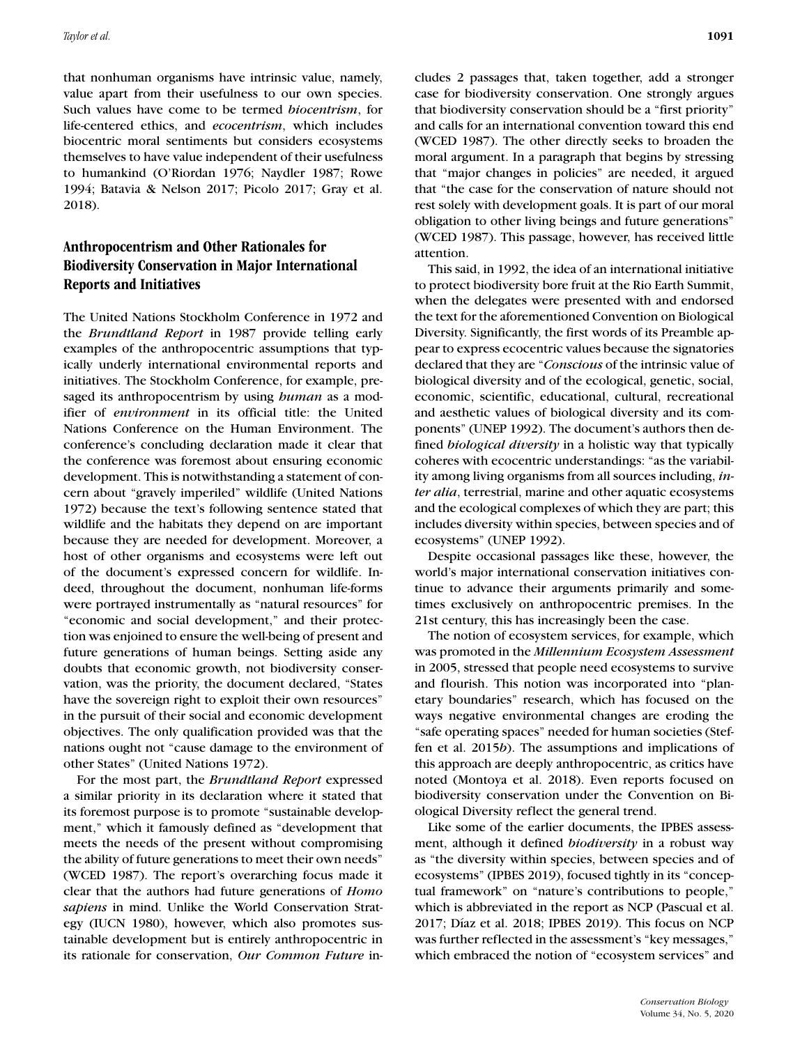that nonhuman organisms have intrinsic value, namely, value apart from their usefulness to our own species. Such values have come to be termed *biocentrism*, for life-centered ethics, and *ecocentrism*, which includes biocentric moral sentiments but considers ecosystems themselves to have value independent of their usefulness to humankind (O'Riordan 1976; Naydler 1987; Rowe 1994; Batavia & Nelson 2017; Picolo 2017; Gray et al. 2018).

# **Anthropocentrism and Other Rationales for Biodiversity Conservation in Major International Reports and Initiatives**

The United Nations Stockholm Conference in 1972 and the *Brundtland Report* in 1987 provide telling early examples of the anthropocentric assumptions that typically underly international environmental reports and initiatives. The Stockholm Conference, for example, presaged its anthropocentrism by using *human* as a modifier of *environment* in its official title: the United Nations Conference on the Human Environment. The conference's concluding declaration made it clear that the conference was foremost about ensuring economic development. This is notwithstanding a statement of concern about "gravely imperiled" wildlife (United Nations 1972) because the text's following sentence stated that wildlife and the habitats they depend on are important because they are needed for development. Moreover, a host of other organisms and ecosystems were left out of the document's expressed concern for wildlife. Indeed, throughout the document, nonhuman life-forms were portrayed instrumentally as "natural resources" for "economic and social development," and their protection was enjoined to ensure the well-being of present and future generations of human beings. Setting aside any doubts that economic growth, not biodiversity conservation, was the priority, the document declared, "States have the sovereign right to exploit their own resources" in the pursuit of their social and economic development objectives. The only qualification provided was that the nations ought not "cause damage to the environment of other States" (United Nations 1972).

For the most part, the *Brundtland Report* expressed a similar priority in its declaration where it stated that its foremost purpose is to promote "sustainable development," which it famously defined as "development that meets the needs of the present without compromising the ability of future generations to meet their own needs" (WCED 1987). The report's overarching focus made it clear that the authors had future generations of *Homo sapiens* in mind. Unlike the World Conservation Strategy (IUCN 1980), however, which also promotes sustainable development but is entirely anthropocentric in its rationale for conservation, *Our Common Future* includes 2 passages that, taken together, add a stronger case for biodiversity conservation. One strongly argues that biodiversity conservation should be a "first priority" and calls for an international convention toward this end (WCED 1987). The other directly seeks to broaden the moral argument. In a paragraph that begins by stressing that "major changes in policies" are needed, it argued that "the case for the conservation of nature should not rest solely with development goals. It is part of our moral obligation to other living beings and future generations" (WCED 1987). This passage, however, has received little attention.

This said, in 1992, the idea of an international initiative to protect biodiversity bore fruit at the Rio Earth Summit, when the delegates were presented with and endorsed the text for the aforementioned Convention on Biological Diversity. Significantly, the first words of its Preamble appear to express ecocentric values because the signatories declared that they are "*Conscious* of the intrinsic value of biological diversity and of the ecological, genetic, social, economic, scientific, educational, cultural, recreational and aesthetic values of biological diversity and its components" (UNEP 1992). The document's authors then defined *biological diversity* in a holistic way that typically coheres with ecocentric understandings: "as the variability among living organisms from all sources including, *inter alia*, terrestrial, marine and other aquatic ecosystems and the ecological complexes of which they are part; this includes diversity within species, between species and of ecosystems" (UNEP 1992).

Despite occasional passages like these, however, the world's major international conservation initiatives continue to advance their arguments primarily and sometimes exclusively on anthropocentric premises. In the 21st century, this has increasingly been the case.

The notion of ecosystem services, for example, which was promoted in the *Millennium Ecosystem Assessment* in 2005, stressed that people need ecosystems to survive and flourish. This notion was incorporated into "planetary boundaries" research, which has focused on the ways negative environmental changes are eroding the "safe operating spaces" needed for human societies (Steffen et al. 2015*b*). The assumptions and implications of this approach are deeply anthropocentric, as critics have noted (Montoya et al. 2018). Even reports focused on biodiversity conservation under the Convention on Biological Diversity reflect the general trend.

Like some of the earlier documents, the IPBES assessment, although it defined *biodiversity* in a robust way as "the diversity within species, between species and of ecosystems" (IPBES 2019), focused tightly in its "conceptual framework" on "nature's contributions to people," which is abbreviated in the report as NCP (Pascual et al. 2017; Díaz et al. 2018; IPBES 2019). This focus on NCP was further reflected in the assessment's "key messages," which embraced the notion of "ecosystem services" and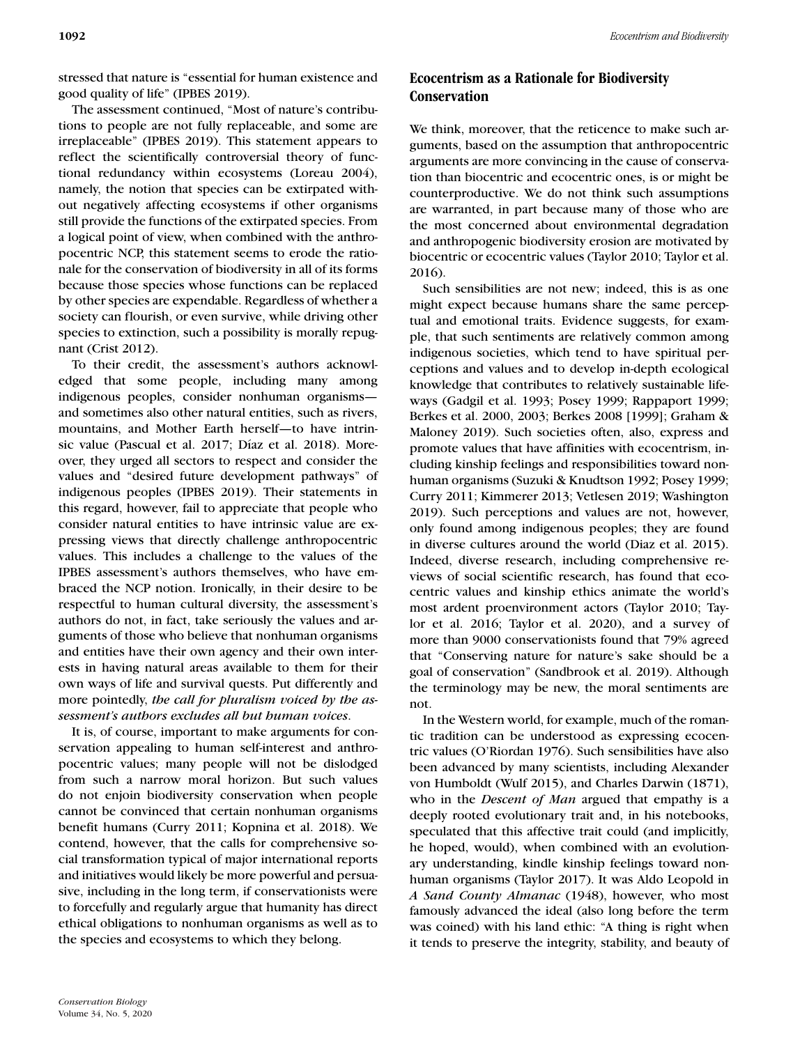stressed that nature is "essential for human existence and good quality of life" (IPBES 2019).

The assessment continued, "Most of nature's contributions to people are not fully replaceable, and some are irreplaceable" (IPBES 2019). This statement appears to reflect the scientifically controversial theory of functional redundancy within ecosystems (Loreau 2004), namely, the notion that species can be extirpated without negatively affecting ecosystems if other organisms still provide the functions of the extirpated species. From a logical point of view, when combined with the anthropocentric NCP, this statement seems to erode the rationale for the conservation of biodiversity in all of its forms because those species whose functions can be replaced by other species are expendable. Regardless of whether a society can flourish, or even survive, while driving other species to extinction, such a possibility is morally repugnant (Crist 2012).

To their credit, the assessment's authors acknowledged that some people, including many among indigenous peoples, consider nonhuman organisms and sometimes also other natural entities, such as rivers, mountains, and Mother Earth herself—to have intrinsic value (Pascual et al. 2017; Díaz et al. 2018). Moreover, they urged all sectors to respect and consider the values and "desired future development pathways" of indigenous peoples (IPBES 2019). Their statements in this regard, however, fail to appreciate that people who consider natural entities to have intrinsic value are expressing views that directly challenge anthropocentric values. This includes a challenge to the values of the IPBES assessment's authors themselves, who have embraced the NCP notion. Ironically, in their desire to be respectful to human cultural diversity, the assessment's authors do not, in fact, take seriously the values and arguments of those who believe that nonhuman organisms and entities have their own agency and their own interests in having natural areas available to them for their own ways of life and survival quests. Put differently and more pointedly, *the call for pluralism voiced by the assessment's authors excludes all but human voices*.

It is, of course, important to make arguments for conservation appealing to human self-interest and anthropocentric values; many people will not be dislodged from such a narrow moral horizon. But such values do not enjoin biodiversity conservation when people cannot be convinced that certain nonhuman organisms benefit humans (Curry 2011; Kopnina et al. 2018). We contend, however, that the calls for comprehensive social transformation typical of major international reports and initiatives would likely be more powerful and persuasive, including in the long term, if conservationists were to forcefully and regularly argue that humanity has direct ethical obligations to nonhuman organisms as well as to the species and ecosystems to which they belong.

# **Ecocentrism as a Rationale for Biodiversity Conservation**

We think, moreover, that the reticence to make such arguments, based on the assumption that anthropocentric arguments are more convincing in the cause of conservation than biocentric and ecocentric ones, is or might be counterproductive. We do not think such assumptions are warranted, in part because many of those who are the most concerned about environmental degradation and anthropogenic biodiversity erosion are motivated by biocentric or ecocentric values (Taylor 2010; Taylor et al. 2016).

Such sensibilities are not new; indeed, this is as one might expect because humans share the same perceptual and emotional traits. Evidence suggests, for example, that such sentiments are relatively common among indigenous societies, which tend to have spiritual perceptions and values and to develop in-depth ecological knowledge that contributes to relatively sustainable lifeways (Gadgil et al. 1993; Posey 1999; Rappaport 1999; Berkes et al. 2000, 2003; Berkes 2008 [1999]; Graham & Maloney 2019). Such societies often, also, express and promote values that have affinities with ecocentrism, including kinship feelings and responsibilities toward nonhuman organisms (Suzuki & Knudtson 1992; Posey 1999; Curry 2011; Kimmerer 2013; Vetlesen 2019; Washington 2019). Such perceptions and values are not, however, only found among indigenous peoples; they are found in diverse cultures around the world (Diaz et al. 2015). Indeed, diverse research, including comprehensive reviews of social scientific research, has found that ecocentric values and kinship ethics animate the world's most ardent proenvironment actors (Taylor 2010; Taylor et al. 2016; Taylor et al. 2020), and a survey of more than 9000 conservationists found that 79% agreed that "Conserving nature for nature's sake should be a goal of conservation" (Sandbrook et al. 2019). Although the terminology may be new, the moral sentiments are not.

In the Western world, for example, much of the romantic tradition can be understood as expressing ecocentric values (O'Riordan 1976). Such sensibilities have also been advanced by many scientists, including Alexander von Humboldt (Wulf 2015), and Charles Darwin (1871), who in the *Descent of Man* argued that empathy is a deeply rooted evolutionary trait and, in his notebooks, speculated that this affective trait could (and implicitly, he hoped, would), when combined with an evolutionary understanding, kindle kinship feelings toward nonhuman organisms (Taylor 2017). It was Aldo Leopold in *A Sand County Almanac* (1948), however, who most famously advanced the ideal (also long before the term was coined) with his land ethic: "A thing is right when it tends to preserve the integrity, stability, and beauty of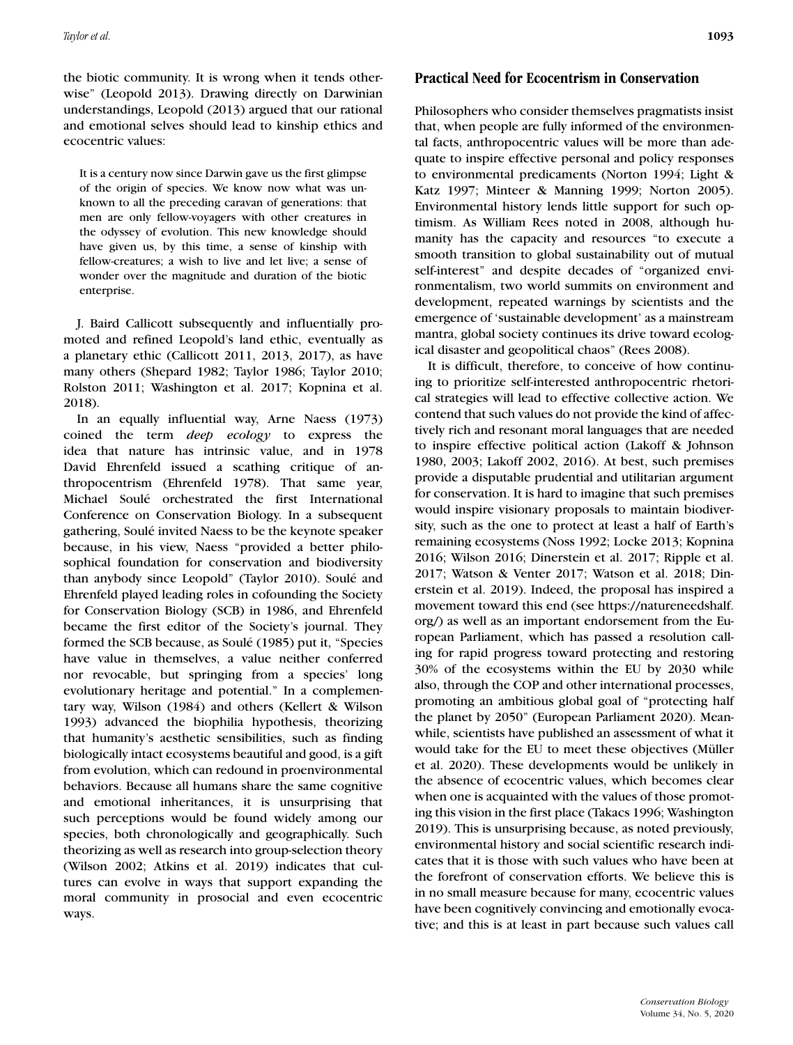the biotic community. It is wrong when it tends otherwise" (Leopold 2013). Drawing directly on Darwinian understandings, Leopold (2013) argued that our rational and emotional selves should lead to kinship ethics and ecocentric values:

It is a century now since Darwin gave us the first glimpse of the origin of species. We know now what was unknown to all the preceding caravan of generations: that men are only fellow-voyagers with other creatures in the odyssey of evolution. This new knowledge should have given us, by this time, a sense of kinship with fellow-creatures; a wish to live and let live; a sense of wonder over the magnitude and duration of the biotic enterprise.

J. Baird Callicott subsequently and influentially promoted and refined Leopold's land ethic, eventually as a planetary ethic (Callicott 2011, 2013, 2017), as have many others (Shepard 1982; Taylor 1986; Taylor 2010; Rolston 2011; Washington et al. 2017; Kopnina et al. 2018).

In an equally influential way, Arne Naess (1973) coined the term *deep ecology* to express the idea that nature has intrinsic value, and in 1978 David Ehrenfeld issued a scathing critique of anthropocentrism (Ehrenfeld 1978). That same year, Michael Soulé orchestrated the first International Conference on Conservation Biology. In a subsequent gathering, Soulé invited Naess to be the keynote speaker because, in his view, Naess "provided a better philosophical foundation for conservation and biodiversity than anybody since Leopold" (Taylor 2010). Soulé and Ehrenfeld played leading roles in cofounding the Society for Conservation Biology (SCB) in 1986, and Ehrenfeld became the first editor of the Society's journal. They formed the SCB because, as Soulé (1985) put it, "Species have value in themselves, a value neither conferred nor revocable, but springing from a species' long evolutionary heritage and potential." In a complementary way, Wilson (1984) and others (Kellert & Wilson 1993) advanced the biophilia hypothesis, theorizing that humanity's aesthetic sensibilities, such as finding biologically intact ecosystems beautiful and good, is a gift from evolution, which can redound in proenvironmental behaviors. Because all humans share the same cognitive and emotional inheritances, it is unsurprising that such perceptions would be found widely among our species, both chronologically and geographically. Such theorizing as well as research into group-selection theory (Wilson 2002; Atkins et al. 2019) indicates that cultures can evolve in ways that support expanding the moral community in prosocial and even ecocentric ways.

### **Practical Need for Ecocentrism in Conservation**

Philosophers who consider themselves pragmatists insist that, when people are fully informed of the environmental facts, anthropocentric values will be more than adequate to inspire effective personal and policy responses to environmental predicaments (Norton 1994; Light & Katz 1997; Minteer & Manning 1999; Norton 2005). Environmental history lends little support for such optimism. As William Rees noted in 2008, although humanity has the capacity and resources "to execute a smooth transition to global sustainability out of mutual self-interest" and despite decades of "organized environmentalism, two world summits on environment and development, repeated warnings by scientists and the emergence of 'sustainable development' as a mainstream mantra, global society continues its drive toward ecological disaster and geopolitical chaos" (Rees 2008).

It is difficult, therefore, to conceive of how continuing to prioritize self-interested anthropocentric rhetorical strategies will lead to effective collective action. We contend that such values do not provide the kind of affectively rich and resonant moral languages that are needed to inspire effective political action (Lakoff & Johnson 1980, 2003; Lakoff 2002, 2016). At best, such premises provide a disputable prudential and utilitarian argument for conservation. It is hard to imagine that such premises would inspire visionary proposals to maintain biodiversity, such as the one to protect at least a half of Earth's remaining ecosystems (Noss 1992; Locke 2013; Kopnina 2016; Wilson 2016; Dinerstein et al. 2017; Ripple et al. 2017; Watson & Venter 2017; Watson et al. 2018; Dinerstein et al. 2019). Indeed, the proposal has inspired a movement toward this end (see [https://natureneedshalf.](https://natureneedshalf.org/) [org/\)](https://natureneedshalf.org/) as well as an important endorsement from the European Parliament, which has passed a resolution calling for rapid progress toward protecting and restoring 30% of the ecosystems within the EU by 2030 while also, through the COP and other international processes, promoting an ambitious global goal of "protecting half the planet by 2050" (European Parliament 2020). Meanwhile, scientists have published an assessment of what it would take for the EU to meet these objectives (Müller et al. 2020). These developments would be unlikely in the absence of ecocentric values, which becomes clear when one is acquainted with the values of those promoting this vision in the first place (Takacs 1996; Washington 2019). This is unsurprising because, as noted previously, environmental history and social scientific research indicates that it is those with such values who have been at the forefront of conservation efforts. We believe this is in no small measure because for many, ecocentric values have been cognitively convincing and emotionally evocative; and this is at least in part because such values call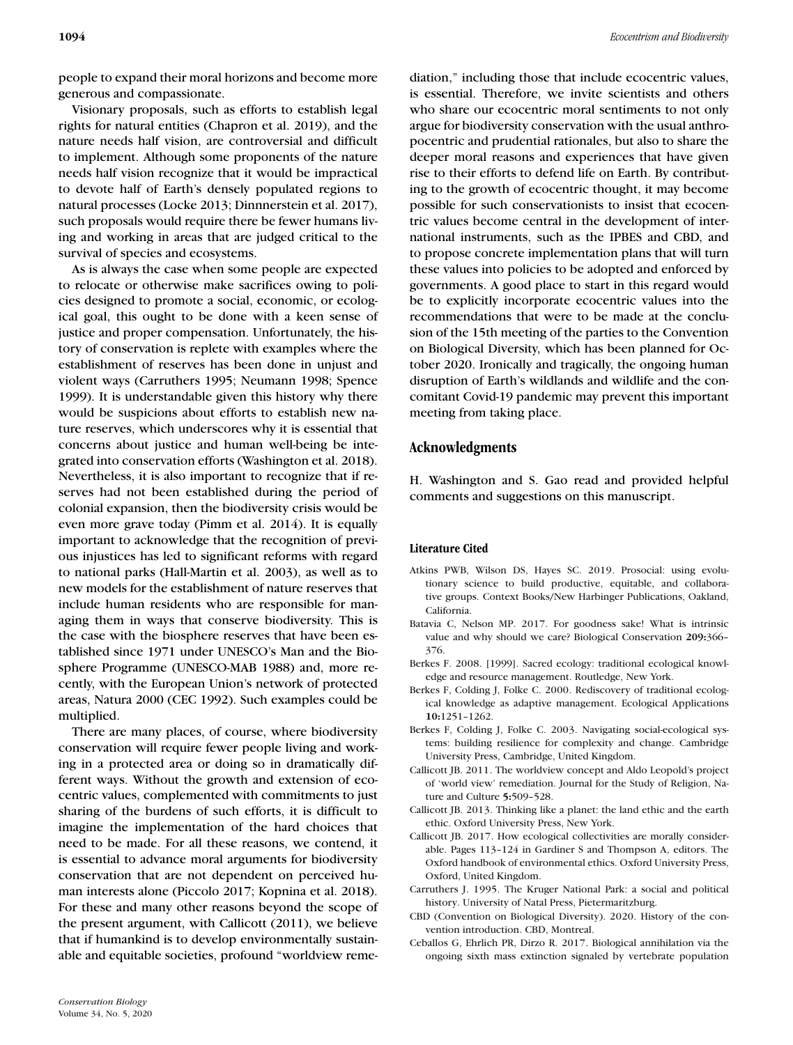people to expand their moral horizons and become more generous and compassionate.

Visionary proposals, such as efforts to establish legal rights for natural entities (Chapron et al. 2019), and the nature needs half vision, are controversial and difficult to implement. Although some proponents of the nature needs half vision recognize that it would be impractical to devote half of Earth's densely populated regions to natural processes (Locke 2013; Dinnnerstein et al. 2017), such proposals would require there be fewer humans living and working in areas that are judged critical to the survival of species and ecosystems.

As is always the case when some people are expected to relocate or otherwise make sacrifices owing to policies designed to promote a social, economic, or ecological goal, this ought to be done with a keen sense of justice and proper compensation. Unfortunately, the history of conservation is replete with examples where the establishment of reserves has been done in unjust and violent ways (Carruthers 1995; Neumann 1998; Spence 1999). It is understandable given this history why there would be suspicions about efforts to establish new nature reserves, which underscores why it is essential that concerns about justice and human well-being be integrated into conservation efforts (Washington et al. 2018). Nevertheless, it is also important to recognize that if reserves had not been established during the period of colonial expansion, then the biodiversity crisis would be even more grave today (Pimm et al. 2014). It is equally important to acknowledge that the recognition of previous injustices has led to significant reforms with regard to national parks (Hall-Martin et al. 2003), as well as to new models for the establishment of nature reserves that include human residents who are responsible for managing them in ways that conserve biodiversity. This is the case with the biosphere reserves that have been established since 1971 under UNESCO's Man and the Biosphere Programme (UNESCO-MAB 1988) and, more recently, with the European Union's network of protected areas, Natura 2000 (CEC 1992). Such examples could be multiplied.

There are many places, of course, where biodiversity conservation will require fewer people living and working in a protected area or doing so in dramatically different ways. Without the growth and extension of ecocentric values, complemented with commitments to just sharing of the burdens of such efforts, it is difficult to imagine the implementation of the hard choices that need to be made. For all these reasons, we contend, it is essential to advance moral arguments for biodiversity conservation that are not dependent on perceived human interests alone (Piccolo 2017; Kopnina et al. 2018). For these and many other reasons beyond the scope of the present argument, with Callicott (2011), we believe that if humankind is to develop environmentally sustainable and equitable societies, profound "worldview remediation," including those that include ecocentric values, is essential. Therefore, we invite scientists and others who share our ecocentric moral sentiments to not only argue for biodiversity conservation with the usual anthropocentric and prudential rationales, but also to share the deeper moral reasons and experiences that have given rise to their efforts to defend life on Earth. By contributing to the growth of ecocentric thought, it may become possible for such conservationists to insist that ecocentric values become central in the development of international instruments, such as the IPBES and CBD, and to propose concrete implementation plans that will turn these values into policies to be adopted and enforced by governments. A good place to start in this regard would be to explicitly incorporate ecocentric values into the recommendations that were to be made at the conclusion of the 15th meeting of the parties to the Convention on Biological Diversity, which has been planned for October 2020. Ironically and tragically, the ongoing human disruption of Earth's wildlands and wildlife and the concomitant Covid-19 pandemic may prevent this important meeting from taking place.

### **Acknowledgments**

H. Washington and S. Gao read and provided helpful comments and suggestions on this manuscript.

#### **Literature Cited**

- Atkins PWB, Wilson DS, Hayes SC. 2019. Prosocial: using evolutionary science to build productive, equitable, and collaborative groups. Context Books/New Harbinger Publications, Oakland, California.
- Batavia C, Nelson MP. 2017. For goodness sake! What is intrinsic value and why should we care? Biological Conservation **209:**366– 376.
- Berkes F. 2008. [1999]. Sacred ecology: traditional ecological knowledge and resource management. Routledge, New York.
- Berkes F, Colding J, Folke C. 2000. Rediscovery of traditional ecological knowledge as adaptive management. Ecological Applications **10:**1251–1262.
- Berkes F, Colding J, Folke C. 2003. Navigating social-ecological systems: building resilience for complexity and change. Cambridge University Press, Cambridge, United Kingdom.
- Callicott JB. 2011. The worldview concept and Aldo Leopold's project of 'world view' remediation. Journal for the Study of Religion, Nature and Culture **5:**509–528.
- Callicott JB. 2013. Thinking like a planet: the land ethic and the earth ethic. Oxford University Press, New York.
- Callicott JB. 2017. How ecological collectivities are morally considerable. Pages 113–124 in Gardiner S and Thompson A, editors. The Oxford handbook of environmental ethics. Oxford University Press, Oxford, United Kingdom.
- Carruthers J. 1995. The Kruger National Park: a social and political history. University of Natal Press, Pietermaritzburg.
- CBD (Convention on Biological Diversity). 2020. History of the convention introduction. CBD, Montreal.
- Ceballos G, Ehrlich PR, Dirzo R. 2017. Biological annihilation via the ongoing sixth mass extinction signaled by vertebrate population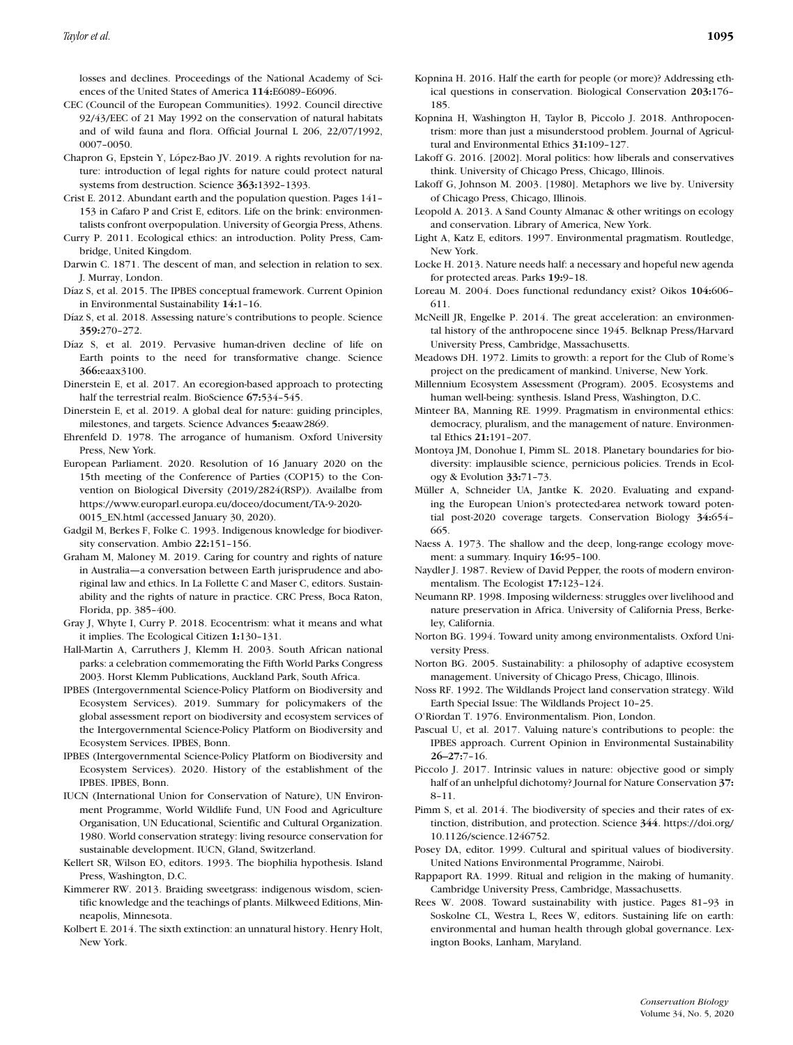losses and declines. Proceedings of the National Academy of Sciences of the United States of America **114:**E6089–E6096.

- CEC (Council of the European Communities). 1992. Council directive 92/43/EEC of 21 May 1992 on the conservation of natural habitats and of wild fauna and flora. Official Journal L 206, 22/07/1992, 0007–0050.
- Chapron G, Epstein Y, López-Bao JV. 2019. A rights revolution for nature: introduction of legal rights for nature could protect natural systems from destruction. Science **363:**1392–1393.
- Crist E. 2012. Abundant earth and the population question. Pages 141– 153 in Cafaro P and Crist E, editors. Life on the brink: environmentalists confront overpopulation. University of Georgia Press, Athens.
- Curry P. 2011. Ecological ethics: an introduction. Polity Press, Cambridge, United Kingdom.
- Darwin C. 1871. The descent of man, and selection in relation to sex. J. Murray, London.
- Díaz S, et al. 2015. The IPBES conceptual framework. Current Opinion in Environmental Sustainability **14:**1–16.
- Díaz S, et al. 2018. Assessing nature's contributions to people. Science **359:**270–272.
- Díaz S, et al. 2019. Pervasive human-driven decline of life on Earth points to the need for transformative change. Science **366:**eaax3100.
- Dinerstein E, et al. 2017. An ecoregion-based approach to protecting half the terrestrial realm. BioScience **67:**534–545.
- Dinerstein E, et al. 2019. A global deal for nature: guiding principles, milestones, and targets. Science Advances **5:**eaaw2869.
- Ehrenfeld D. 1978. The arrogance of humanism. Oxford University Press, New York.
- European Parliament. 2020. Resolution of 16 January 2020 on the 15th meeting of the Conference of Parties (COP15) to the Convention on Biological Diversity (2019/2824(RSP)). Availalbe from [https://www.europarl.europa.eu/doceo/document/TA-9-2020-](https://www.europarl.europa.eu/doceo/document/TA-9-2020-0015_EN.html) [0015\\_EN.html](https://www.europarl.europa.eu/doceo/document/TA-9-2020-0015_EN.html) (accessed January 30, 2020).
- Gadgil M, Berkes F, Folke C. 1993. Indigenous knowledge for biodiversity conservation. Ambio **22:**151–156.
- Graham M, Maloney M. 2019. Caring for country and rights of nature in Australia—a conversation between Earth jurisprudence and aboriginal law and ethics. In La Follette C and Maser C, editors. Sustainability and the rights of nature in practice. CRC Press, Boca Raton, Florida, pp. 385–400.
- Gray J, Whyte I, Curry P. 2018. Ecocentrism: what it means and what it implies. The Ecological Citizen **1:**130–131.
- Hall-Martin A, Carruthers J, Klemm H. 2003. South African national parks: a celebration commemorating the Fifth World Parks Congress 2003. Horst Klemm Publications, Auckland Park, South Africa.
- IPBES (Intergovernmental Science-Policy Platform on Biodiversity and Ecosystem Services). 2019. Summary for policymakers of the global assessment report on biodiversity and ecosystem services of the Intergovernmental Science-Policy Platform on Biodiversity and Ecosystem Services. IPBES, Bonn.
- IPBES (Intergovernmental Science-Policy Platform on Biodiversity and Ecosystem Services). 2020. History of the establishment of the IPBES. IPBES, Bonn.
- IUCN (International Union for Conservation of Nature), UN Environment Programme, World Wildlife Fund, UN Food and Agriculture Organisation, UN Educational, Scientific and Cultural Organization. 1980. World conservation strategy: living resource conservation for sustainable development. IUCN, Gland, Switzerland.
- Kellert SR, Wilson EO, editors. 1993. The biophilia hypothesis. Island Press, Washington, D.C.
- Kimmerer RW. 2013. Braiding sweetgrass: indigenous wisdom, scientific knowledge and the teachings of plants. Milkweed Editions, Minneapolis, Minnesota.
- Kolbert E. 2014. The sixth extinction: an unnatural history. Henry Holt, New York.
- Kopnina H. 2016. Half the earth for people (or more)? Addressing ethical questions in conservation. Biological Conservation **203:**176– 185.
- Kopnina H, Washington H, Taylor B, Piccolo J. 2018. Anthropocentrism: more than just a misunderstood problem. Journal of Agricultural and Environmental Ethics **31:**109–127.
- Lakoff G. 2016. [2002]. Moral politics: how liberals and conservatives think. University of Chicago Press, Chicago, Illinois.
- Lakoff G, Johnson M. 2003. [1980]. Metaphors we live by. University of Chicago Press, Chicago, Illinois.
- Leopold A. 2013. A Sand County Almanac & other writings on ecology and conservation. Library of America, New York.
- Light A, Katz E, editors. 1997. Environmental pragmatism. Routledge, New York.
- Locke H. 2013. Nature needs half: a necessary and hopeful new agenda for protected areas. Parks **19:**9–18.
- Loreau M. 2004. Does functional redundancy exist? Oikos **104:**606– 611.
- McNeill JR, Engelke P. 2014. The great acceleration: an environmental history of the anthropocene since 1945. Belknap Press/Harvard University Press, Cambridge, Massachusetts.
- Meadows DH. 1972. Limits to growth: a report for the Club of Rome's project on the predicament of mankind. Universe, New York.
- Millennium Ecosystem Assessment (Program). 2005. Ecosystems and human well-being: synthesis. Island Press, Washington, D.C.
- Minteer BA, Manning RE. 1999. Pragmatism in environmental ethics: democracy, pluralism, and the management of nature. Environmental Ethics **21:**191–207.
- Montoya JM, Donohue I, Pimm SL. 2018. Planetary boundaries for biodiversity: implausible science, pernicious policies. Trends in Ecology & Evolution **33:**71–73.
- Müller A, Schneider UA, Jantke K. 2020. Evaluating and expanding the European Union's protected-area network toward potential post-2020 coverage targets. Conservation Biology **34:**654– 665.
- Naess A. 1973. The shallow and the deep, long-range ecology movement: a summary. Inquiry **16:**95–100.
- Naydler J. 1987. Review of David Pepper, the roots of modern environmentalism. The Ecologist **17:**123–124.
- Neumann RP. 1998. Imposing wilderness: struggles over livelihood and nature preservation in Africa. University of California Press, Berkeley, California.
- Norton BG. 1994. Toward unity among environmentalists. Oxford University Press.
- Norton BG. 2005. Sustainability: a philosophy of adaptive ecosystem management. University of Chicago Press, Chicago, Illinois.
- Noss RF. 1992. The Wildlands Project land conservation strategy. Wild Earth Special Issue: The Wildlands Project 10–25.
- O'Riordan T. 1976. Environmentalism. Pion, London.
- Pascual U, et al. 2017. Valuing nature's contributions to people: the IPBES approach. Current Opinion in Environmental Sustainability **26–27:**7–16.
- Piccolo J. 2017. Intrinsic values in nature: objective good or simply half of an unhelpful dichotomy? Journal for Nature Conservation **37:** 8–11.
- Pimm S, et al. 2014. The biodiversity of species and their rates of extinction, distribution, and protection. Science **344**. [https://doi.org/](https://doi.org/10.1126/science.1246752) [10.1126/science.1246752.](https://doi.org/10.1126/science.1246752)
- Posey DA, editor. 1999. Cultural and spiritual values of biodiversity. United Nations Environmental Programme, Nairobi.
- Rappaport RA. 1999. Ritual and religion in the making of humanity. Cambridge University Press, Cambridge, Massachusetts.
- Rees W. 2008. Toward sustainability with justice. Pages 81–93 in Soskolne CL, Westra L, Rees W, editors. Sustaining life on earth: environmental and human health through global governance. Lexington Books, Lanham, Maryland.